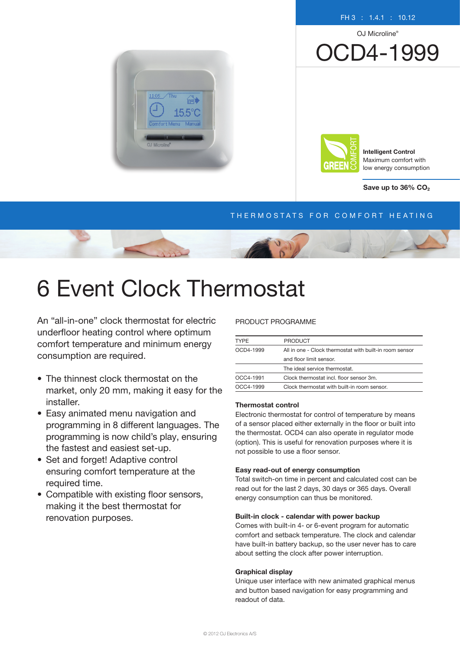#### FH 3 : 1.4.1 : 10.12

OJ Microline®

OCD4-1999





Intelligent Control Maximum comfort with low energy consumption

Save up to  $36\%$  CO<sub>2</sub>

# THERMOSTATS FOR COMFORT HEATING



# 6 Event Clock Thermostat

An "all-in-one" clock thermostat for electric underfloor heating control where optimum comfort temperature and minimum energy consumption are required.

- The thinnest clock thermostat on the market, only 20 mm, making it easy for the installer.
- Easy animated menu navigation and programming in 8 different languages. The programming is now child's play, ensuring the fastest and easiest set-up.
- Set and forget! Adaptive control ensuring comfort temperature at the required time.
- Compatible with existing floor sensors, making it the best thermostat for renovation purposes.

#### PRODUCT PROGRAMME

| <b>TYPE</b> | <b>PRODUCT</b>                                          |  |
|-------------|---------------------------------------------------------|--|
| OCD4-1999   | All in one - Clock thermostat with built-in room sensor |  |
|             | and floor limit sensor.                                 |  |
|             | The ideal service thermostat.                           |  |
| OCC4-1991   | Clock thermostat incl. floor sensor 3m.                 |  |
| OCC4-1999   | Clock thermostat with built-in room sensor.             |  |

## Thermostat control

Electronic thermostat for control of temperature by means of a sensor placed either externally in the floor or built into the thermostat. OCD4 can also operate in regulator mode (option). This is useful for renovation purposes where it is not possible to use a floor sensor.

#### Easy read-out of energy consumption

Total switch-on time in percent and calculated cost can be read out for the last 2 days, 30 days or 365 days. Overall energy consumption can thus be monitored.

#### Built-in clock - calendar with power backup

Comes with built-in 4- or 6-event program for automatic comfort and setback temperature. The clock and calendar have built-in battery backup, so the user never has to care about setting the clock after power interruption.

#### Graphical display

Unique user interface with new animated graphical menus and button based navigation for easy programming and readout of data.